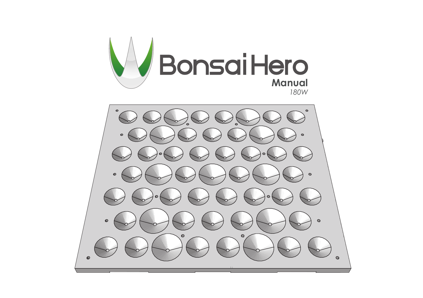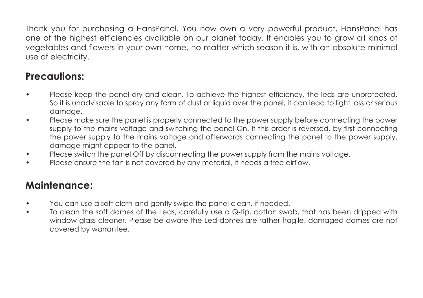Thank you for purchasing a HansPanel. You now own a very powerful product, HansPanel has one of the highest efficiencies available on our planet today. It enables you to grow all kinds of vegetables and flowers in your own home, no matter which season it is, with an absolute minimal use of electricity.

# **Precautions:**

- Please keep the panel dry and clean. To achieve the highest efficiency, the leds are unprotected. So it is unadvisable to spray any form of dust or liquid over the panel, it can lead to light loss or serious damage.
- Please make sure the panel is properly connected to the power supply before connecting the power supply to the mains voltage and switching the panel On. If this order is reversed, by first connecting the power supply to the mains voltage and afterwards connecting the panel to the power supply, damage might appear to the panel.
- Please switch the panel Off by disconnecting the power supply from the mains voltage.
- Please ensure the fan is not covered by any material, it needs a free airflow.

### **Maintenance:**

- You can use a soft cloth and gently swipe the panel clean, if needed.
- To clean the soft domes of the Leds, carefully use a Q-tip, cotton swab, that has been dripped with window glass cleaner. Please be aware the Led-domes are rather fragile, damaged domes are not covered by warrantee.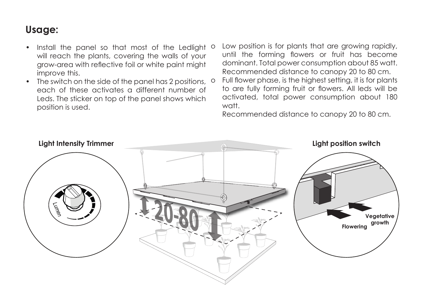### **Usage:**

- Install the panel so that most of the Ledlight  $\circ$ will reach the plants, covering the walls of your grow-area with reflective foil or white paint might improve this.
- The switch on the side of the panel has 2 positions, <sup>o</sup> each of these activates a different number of Leds. The sticker on top of the panel shows which position is used.
- Low position is for plants that are growing rapidly, until the forming flowers or fruit has become dominant. Total power consumption about 85 watt. Recommended distance to canopy 20 to 80 cm.
- Full flower phase, is the highest setting, it is for plants to are fully forming fruit or flowers. All leds will be activated, total power consumption about 180 watt.

Recommended distance to canopy 20 to 80 cm.